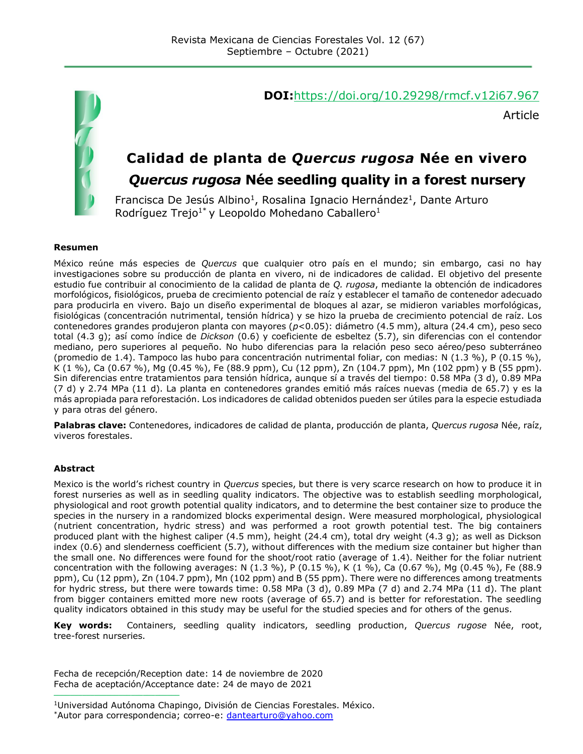

#### **DOI:**<https://doi.org/10.29298/rmcf.v12i67.967>

Article

# **Calidad de planta de** *Quercus rugosa* **Née en vivero**

## *Quercus rugosa* **Née seedling quality in a forest nursery**

Francisca De Jesús Albino<sup>1</sup>, Rosalina Ignacio Hernández<sup>1</sup>, Dante Arturo Rodríguez Trejo<sup>1\*</sup> y Leopoldo Mohedano Caballero<sup>1</sup>

#### **Resumen**

México reúne más especies de *Quercus* que cualquier otro país en el mundo; sin embargo, casi no hay investigaciones sobre su producción de planta en vivero, ni de indicadores de calidad. El objetivo del presente estudio fue contribuir al conocimiento de la calidad de planta de *Q. rugosa*, mediante la obtención de indicadores morfológicos, fisiológicos, prueba de crecimiento potencial de raíz y establecer el tamaño de contenedor adecuado para producirla en vivero. Bajo un diseño experimental de bloques al azar, se midieron variables morfológicas, fisiológicas (concentración nutrimental, tensión hídrica) y se hizo la prueba de crecimiento potencial de raíz. Los contenedores grandes produjeron planta con mayores (*p*<0.05): diámetro (4.5 mm), altura (24.4 cm), peso seco total (4.3 g); así como índice de *Dickson* (0.6) y coeficiente de esbeltez (5.7), sin diferencias con el contendor mediano, pero superiores al pequeño. No hubo diferencias para la relación peso seco aéreo/peso subterráneo (promedio de 1.4). Tampoco las hubo para concentración nutrimental foliar, con medias: N (1.3 %), P (0.15 %), K (1 %), Ca (0.67 %), Mg (0.45 %), Fe (88.9 ppm), Cu (12 ppm), Zn (104.7 ppm), Mn (102 ppm) y B (55 ppm). Sin diferencias entre tratamientos para tensión hídrica, aunque sí a través del tiempo: 0.58 MPa (3 d), 0.89 MPa (7 d) y 2.74 MPa (11 d). La planta en contenedores grandes emitió más raíces nuevas (media de 65.7) y es la más apropiada para reforestación. Los indicadores de calidad obtenidos pueden ser útiles para la especie estudiada y para otras del género.

**Palabras clave:** Contenedores, indicadores de calidad de planta, producción de planta, *Quercus rugosa* Née, raíz, viveros forestales.

#### **Abstract**

Mexico is the world's richest country in *Quercus* species, but there is very scarce research on how to produce it in forest nurseries as well as in seedling quality indicators. The objective was to establish seedling morphological, physiological and root growth potential quality indicators, and to determine the best container size to produce the species in the nursery in a randomized blocks experimental design. Were measured morphological, physiological (nutrient concentration, hydric stress) and was performed a root growth potential test. The big containers produced plant with the highest caliper (4.5 mm), height (24.4 cm), total dry weight (4.3 g); as well as Dickson index (0.6) and slenderness coefficient (5.7), without differences with the medium size container but higher than the small one. No differences were found for the shoot/root ratio (average of 1.4). Neither for the foliar nutrient concentration with the following averages: N (1.3 %), P (0.15 %), K (1 %), Ca (0.67 %), Mg (0.45 %), Fe (88.9 ppm), Cu (12 ppm), Zn (104.7 ppm), Mn (102 ppm) and B (55 ppm). There were no differences among treatments for hydric stress, but there were towards time: 0.58 MPa (3 d), 0.89 MPa (7 d) and 2.74 MPa (11 d). The plant from bigger containers emitted more new roots (average of 65.7) and is better for reforestation. The seedling quality indicators obtained in this study may be useful for the studied species and for others of the genus.

**Key words:** Containers, seedling quality indicators, seedling production, *Quercus rugose* Née, root, tree-forest nurseries.

Fecha de recepción/Reception date: 14 de noviembre de 2020 Fecha de aceptación/Acceptance date: 24 de mayo de 2021

**\_\_\_\_\_\_\_\_\_\_\_\_\_\_\_\_\_\_\_\_\_\_\_\_\_\_\_\_\_\_\_**

<sup>1</sup>Universidad Autónoma Chapingo, División de Ciencias Forestales. México. \*Autor para correspondencia; correo-e: [dantearturo@yahoo.com](mailto:dantearturo@yahoo.com)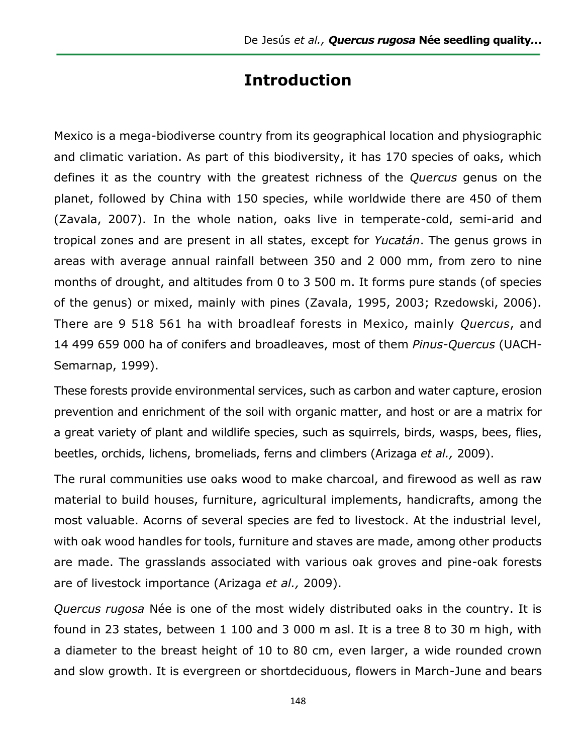## **Introduction**

Mexico is a mega-biodiverse country from its geographical location and physiographic and climatic variation. As part of this biodiversity, it has 170 species of oaks, which defines it as the country with the greatest richness of the *Quercus* genus on the planet, followed by China with 150 species, while worldwide there are 450 of them (Zavala, 2007). In the whole nation, oaks live in temperate-cold, semi-arid and tropical zones and are present in all states, except for *Yucatán*. The genus grows in areas with average annual rainfall between 350 and 2 000 mm, from zero to nine months of drought, and altitudes from 0 to 3 500 m. It forms pure stands (of species of the genus) or mixed, mainly with pines (Zavala, 1995, 2003; Rzedowski, 2006). There are 9 518 561 ha with broadleaf forests in Mexico, mainly *Quercus*, and 14 499 659 000 ha of conifers and broadleaves, most of them *Pinus-Quercus* (UACH-Semarnap, 1999).

These forests provide environmental services, such as carbon and water capture, erosion prevention and enrichment of the soil with organic matter, and host or are a matrix for a great variety of plant and wildlife species, such as squirrels, birds, wasps, bees, flies, beetles, orchids, lichens, bromeliads, ferns and climbers (Arizaga *et al.,* 2009).

The rural communities use oaks wood to make charcoal, and firewood as well as raw material to build houses, furniture, agricultural implements, handicrafts, among the most valuable. Acorns of several species are fed to livestock. At the industrial level, with oak wood handles for tools, furniture and staves are made, among other products are made. The grasslands associated with various oak groves and pine-oak forests are of livestock importance (Arizaga *et al.,* 2009).

*Quercus rugosa* Née is one of the most widely distributed oaks in the country. It is found in 23 states, between 1 100 and 3 000 m asl. It is a tree 8 to 30 m high, with a diameter to the breast height of 10 to 80 cm, even larger, a wide rounded crown and slow growth. It is evergreen or shortdeciduous, flowers in March-June and bears

148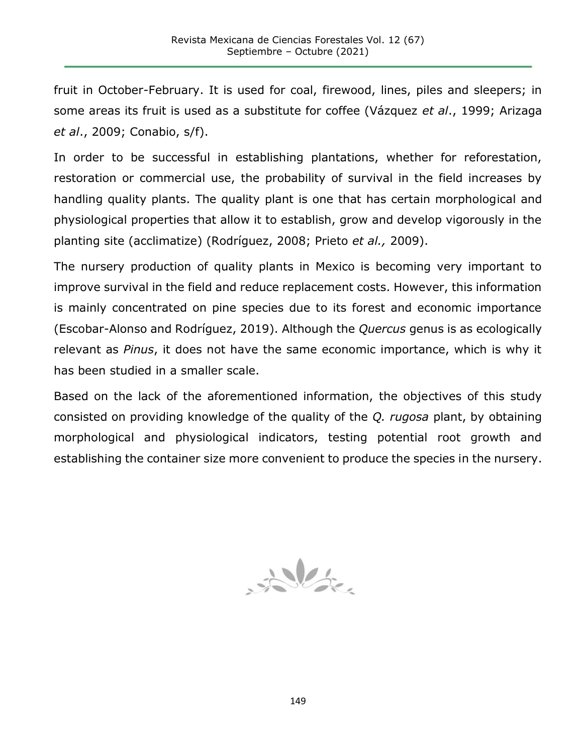fruit in October-February. It is used for coal, firewood, lines, piles and sleepers; in some areas its fruit is used as a substitute for coffee (Vázquez *et al*., 1999; Arizaga *et al*., 2009; Conabio, s/f).

In order to be successful in establishing plantations, whether for reforestation, restoration or commercial use, the probability of survival in the field increases by handling quality plants. The quality plant is one that has certain morphological and physiological properties that allow it to establish, grow and develop vigorously in the planting site (acclimatize) (Rodríguez, 2008; Prieto *et al.,* 2009).

The nursery production of quality plants in Mexico is becoming very important to improve survival in the field and reduce replacement costs. However, this information is mainly concentrated on pine species due to its forest and economic importance (Escobar-Alonso and Rodríguez, 2019). Although the *Quercus* genus is as ecologically relevant as *Pinus*, it does not have the same economic importance, which is why it has been studied in a smaller scale.

Based on the lack of the aforementioned information, the objectives of this study consisted on providing knowledge of the quality of the *Q. rugosa* plant, by obtaining morphological and physiological indicators, testing potential root growth and establishing the container size more convenient to produce the species in the nursery.

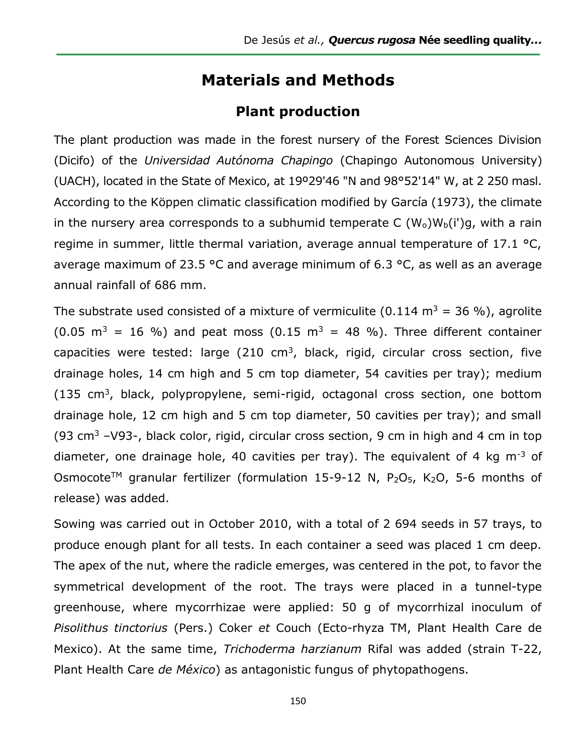## **Materials and Methods**

## **Plant production**

The plant production was made in the forest nursery of the Forest Sciences Division (Dicifo) of the *Universidad Autónoma Chapingo* (Chapingo Autonomous University) (UACH), located in the State of Mexico, at 19º29'46 "N and 98°52'14" W, at 2 250 masl. According to the Köppen climatic classification modified by García (1973), the climate in the nursery area corresponds to a subhumid temperate C  $(W_0)W_b(i')q$ , with a rain regime in summer, little thermal variation, average annual temperature of 17.1 °C, average maximum of 23.5 °C and average minimum of 6.3 °C, as well as an average annual rainfall of 686 mm.

The substrate used consisted of a mixture of vermiculite (0.114 m<sup>3</sup> = 36 %), agrolite  $(0.05 \text{ m}^3 = 16 \text{ %})$  and peat moss  $(0.15 \text{ m}^3 = 48 \text{ %})$ . Three different container capacities were tested: large  $(210 \text{ cm}^3, \text{ black}, \text{rigid}, \text{circular cross section}, \text{five})$ drainage holes, 14 cm high and 5 cm top diameter, 54 cavities per tray); medium  $(135 \text{ cm}^3, \text{ black}, \text{polypropylene}, \text{semi-rigid}, \text{octagonal cross section}, \text{one bottom})$ drainage hole, 12 cm high and 5 cm top diameter, 50 cavities per tray); and small (93 cm<sup>3</sup> –V93-, black color, rigid, circular cross section, 9 cm in high and 4 cm in top diameter, one drainage hole, 40 cavities per tray). The equivalent of 4 kg  $m^{-3}$  of Osmocote<sup>TM</sup> granular fertilizer (formulation 15-9-12 N,  $P_2O_5$ , K<sub>2</sub>O, 5-6 months of release) was added.

Sowing was carried out in October 2010, with a total of 2 694 seeds in 57 trays, to produce enough plant for all tests. In each container a seed was placed 1 cm deep. The apex of the nut, where the radicle emerges, was centered in the pot, to favor the symmetrical development of the root. The trays were placed in a tunnel-type greenhouse, where mycorrhizae were applied: 50 g of mycorrhizal inoculum of *Pisolithus tinctorius* (Pers.) Coker *et* Couch (Ecto-rhyza TM, Plant Health Care de Mexico). At the same time, *Trichoderma harzianum* Rifal was added (strain T-22, Plant Health Care *de México*) as antagonistic fungus of phytopathogens.

150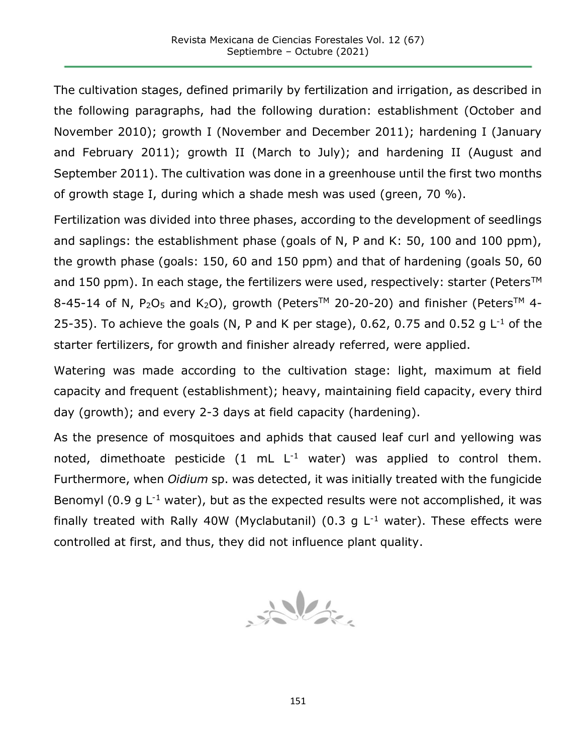The cultivation stages, defined primarily by fertilization and irrigation, as described in the following paragraphs, had the following duration: establishment (October and November 2010); growth I (November and December 2011); hardening I (January and February 2011); growth II (March to July); and hardening II (August and September 2011). The cultivation was done in a greenhouse until the first two months of growth stage I, during which a shade mesh was used (green, 70 %).

Fertilization was divided into three phases, according to the development of seedlings and saplings: the establishment phase (goals of N, P and K: 50, 100 and 100 ppm), the growth phase (goals: 150, 60 and 150 ppm) and that of hardening (goals 50, 60 and 150 ppm). In each stage, the fertilizers were used, respectively: starter (Peters<sup>TM</sup> 8-45-14 of N, P<sub>2</sub>O<sub>5</sub> and K<sub>2</sub>O), growth (Peters<sup>TM</sup> 20-20-20) and finisher (Peters<sup>TM</sup> 4-25-35). To achieve the goals (N, P and K per stage), 0.62, 0.75 and 0.52 g  $L^{-1}$  of the starter fertilizers, for growth and finisher already referred, were applied.

Watering was made according to the cultivation stage: light, maximum at field capacity and frequent (establishment); heavy, maintaining field capacity, every third day (growth); and every 2-3 days at field capacity (hardening).

As the presence of mosquitoes and aphids that caused leaf curl and yellowing was noted, dimethoate pesticide  $(1 \text{ mL } L^{-1}$  water) was applied to control them. Furthermore, when *Oidium* sp. was detected, it was initially treated with the fungicide Benomyl (0.9 g  $L^{-1}$  water), but as the expected results were not accomplished, it was finally treated with Rally 40W (Myclabutanil) (0.3 g  $L^{-1}$  water). These effects were controlled at first, and thus, they did not influence plant quality.

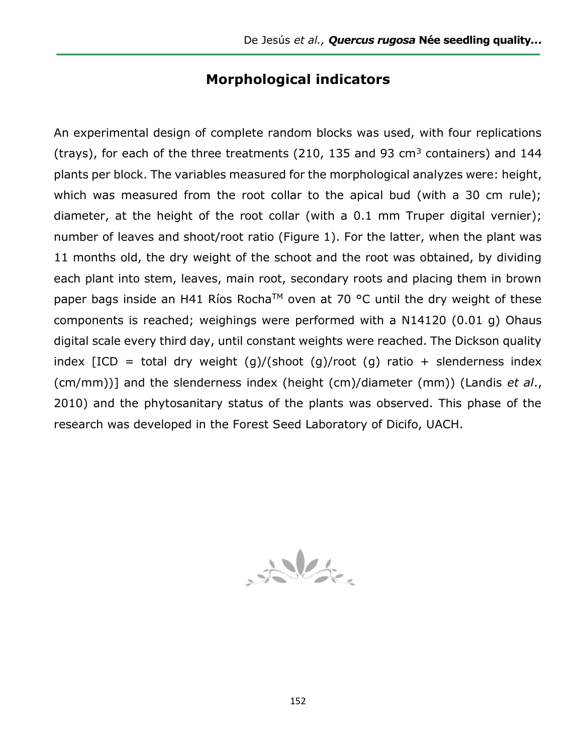### **Morphological indicators**

An experimental design of complete random blocks was used, with four replications (trays), for each of the three treatments (210, 135 and 93  $cm<sup>3</sup>$  containers) and 144 plants per block. The variables measured for the morphological analyzes were: height, which was measured from the root collar to the apical bud (with a 30 cm rule); diameter, at the height of the root collar (with a 0.1 mm Truper digital vernier); number of leaves and shoot/root ratio (Figure 1). For the latter, when the plant was 11 months old, the dry weight of the schoot and the root was obtained, by dividing each plant into stem, leaves, main root, secondary roots and placing them in brown paper bags inside an H41 Ríos Rocha<sup>TM</sup> oven at 70 °C until the dry weight of these components is reached; weighings were performed with a N14120 (0.01 g) Ohaus digital scale every third day, until constant weights were reached. The Dickson quality index  $[ICD = total dry weight (q)/(shoot (q)/root (q) ratio + slenderness index)$ (cm/mm))] and the slenderness index (height (cm)/diameter (mm)) (Landis *et al*., 2010) and the phytosanitary status of the plants was observed. This phase of the research was developed in the Forest Seed Laboratory of Dicifo, UACH.

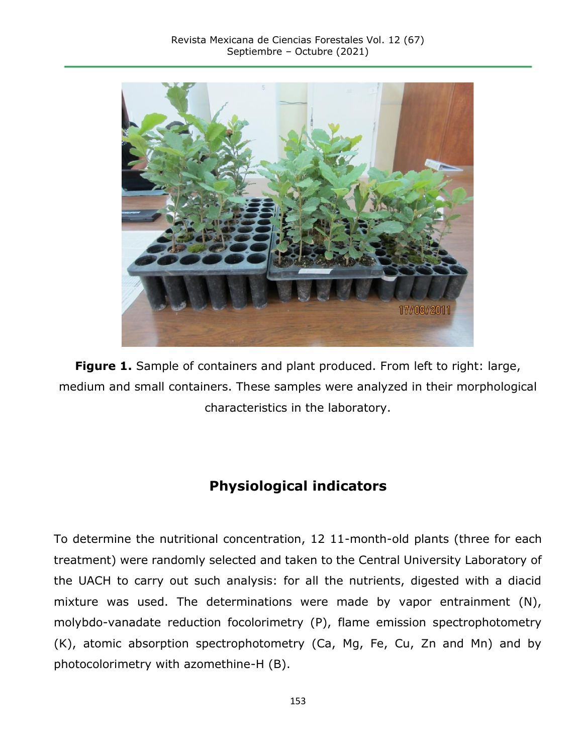

**Figure 1.** Sample of containers and plant produced. From left to right: large, medium and small containers. These samples were analyzed in their morphological characteristics in the laboratory.

## **Physiological indicators**

To determine the nutritional concentration, 12 11-month-old plants (three for each treatment) were randomly selected and taken to the Central University Laboratory of the UACH to carry out such analysis: for all the nutrients, digested with a diacid mixture was used. The determinations were made by vapor entrainment (N), molybdo-vanadate reduction focolorimetry (P), flame emission spectrophotometry (K), atomic absorption spectrophotometry (Ca, Mg, Fe, Cu, Zn and Mn) and by photocolorimetry with azomethine-H (B).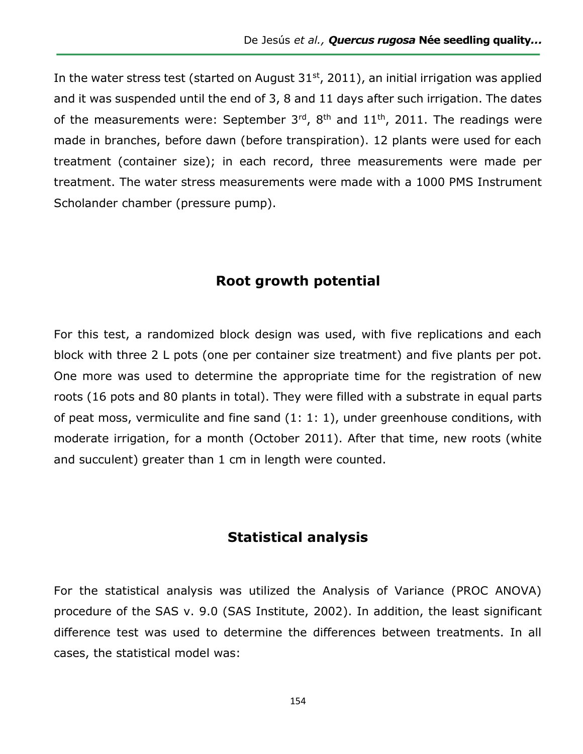In the water stress test (started on August  $31<sup>st</sup>$ , 2011), an initial irrigation was applied and it was suspended until the end of 3, 8 and 11 days after such irrigation. The dates of the measurements were: September  $3<sup>rd</sup>$ ,  $8<sup>th</sup>$  and  $11<sup>th</sup>$ , 2011. The readings were made in branches, before dawn (before transpiration). 12 plants were used for each treatment (container size); in each record, three measurements were made per treatment. The water stress measurements were made with a 1000 PMS Instrument Scholander chamber (pressure pump).

### **Root growth potential**

For this test, a randomized block design was used, with five replications and each block with three 2 L pots (one per container size treatment) and five plants per pot. One more was used to determine the appropriate time for the registration of new roots (16 pots and 80 plants in total). They were filled with a substrate in equal parts of peat moss, vermiculite and fine sand (1: 1: 1), under greenhouse conditions, with moderate irrigation, for a month (October 2011). After that time, new roots (white and succulent) greater than 1 cm in length were counted.

### **Statistical analysis**

For the statistical analysis was utilized the Analysis of Variance (PROC ANOVA) procedure of the SAS v. 9.0 (SAS Institute, 2002). In addition, the least significant difference test was used to determine the differences between treatments. In all cases, the statistical model was: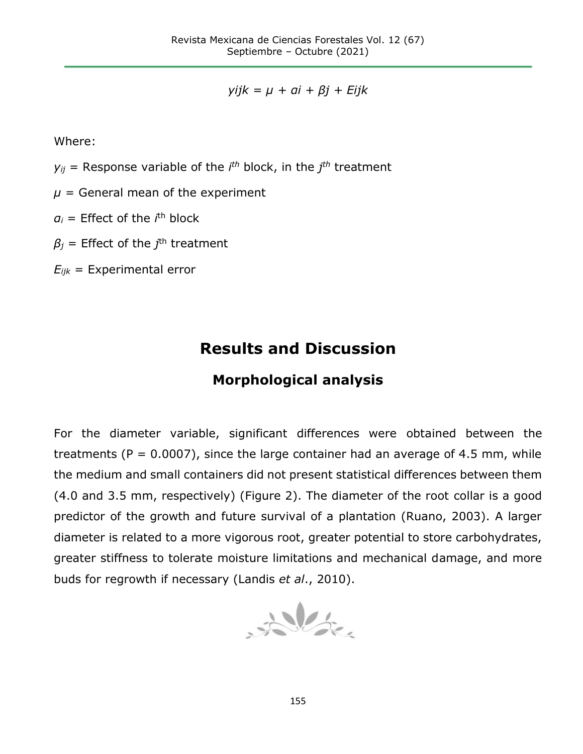*yijk = µ + αi + βj + Eijk*

Where:

 $y_{ij}$  = Response variable of the *i*<sup>th</sup> block, in the *j*<sup>th</sup> treatment

 $\mu$  = General mean of the experiment

*α<sup>i</sup>* = Effect of the *i* th block

 $\beta_j$  = Effect of the  $j^{\text{th}}$  treatment

 $E_{ijk}$  = Experimental error

# **Results and Discussion**

## **Morphological analysis**

For the diameter variable, significant differences were obtained between the treatments ( $P = 0.0007$ ), since the large container had an average of 4.5 mm, while the medium and small containers did not present statistical differences between them (4.0 and 3.5 mm, respectively) (Figure 2). The diameter of the root collar is a good predictor of the growth and future survival of a plantation (Ruano, 2003). A larger diameter is related to a more vigorous root, greater potential to store carbohydrates, greater stiffness to tolerate moisture limitations and mechanical damage, and more buds for regrowth if necessary (Landis *et al*., 2010).

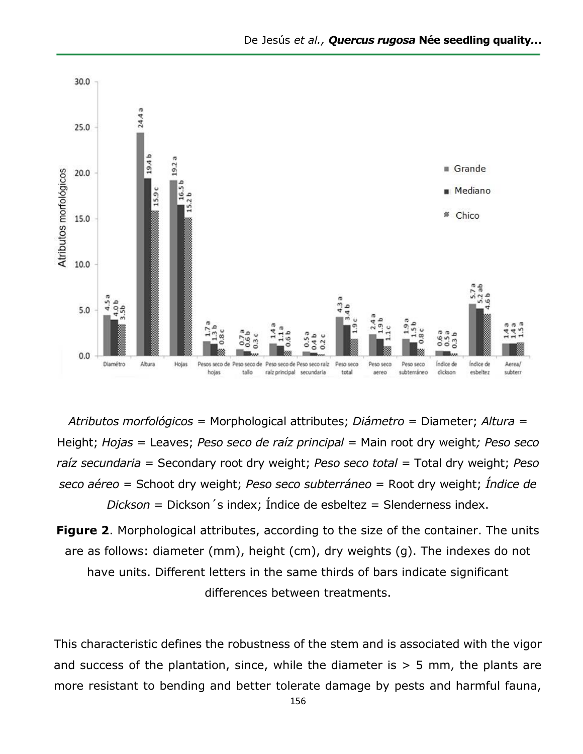

*Atributos morfológicos* = Morphological attributes; *Diámetro* = Diameter; *Altura* = Height; *Hojas* = Leaves; *Peso seco de raíz principal* = Main root dry weight*; Peso seco raíz secundaria* = Secondary root dry weight; *Peso seco total* = Total dry weight; *Peso seco aéreo* = Schoot dry weight; *Peso seco subterráneo* = Root dry weight; *Índice de Dickson* = Dickson´s index; Índice de esbeltez = Slenderness index.

**Figure 2.** Morphological attributes, according to the size of the container. The units are as follows: diameter (mm), height (cm), dry weights (g). The indexes do not have units. Different letters in the same thirds of bars indicate significant differences between treatments.

This characteristic defines the robustness of the stem and is associated with the vigor and success of the plantation, since, while the diameter is  $> 5$  mm, the plants are more resistant to bending and better tolerate damage by pests and harmful fauna,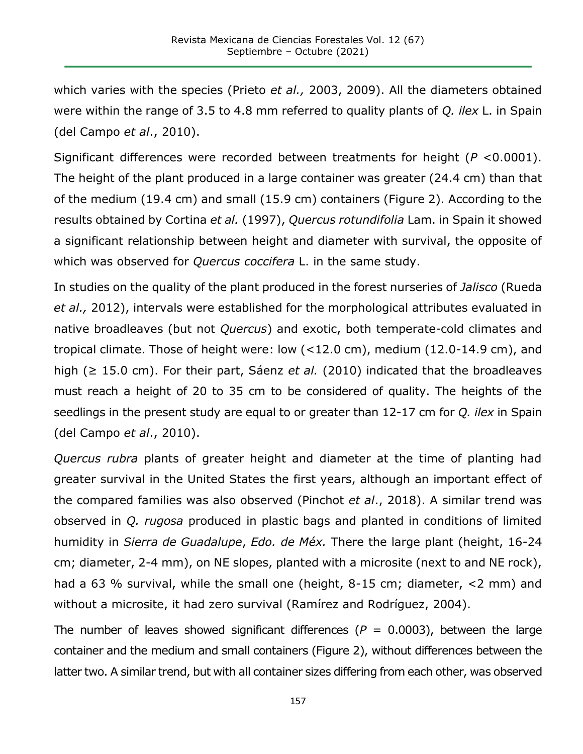which varies with the species (Prieto *et al.,* 2003, 2009). All the diameters obtained were within the range of 3.5 to 4.8 mm referred to quality plants of *Q. ilex* L. in Spain (del Campo *et al*., 2010).

Significant differences were recorded between treatments for height (*P* <0.0001). The height of the plant produced in a large container was greater (24.4 cm) than that of the medium (19.4 cm) and small (15.9 cm) containers (Figure 2). According to the results obtained by Cortina *et al.* (1997), *Quercus rotundifolia* Lam. in Spain it showed a significant relationship between height and diameter with survival, the opposite of which was observed for *Quercus coccifera* L. in the same study.

In studies on the quality of the plant produced in the forest nurseries of *Jalisco* (Rueda *et al.,* 2012), intervals were established for the morphological attributes evaluated in native broadleaves (but not *Quercus*) and exotic, both temperate-cold climates and tropical climate. Those of height were: low (<12.0 cm), medium (12.0-14.9 cm), and high (≥ 15.0 cm). For their part, Sáenz *et al.* (2010) indicated that the broadleaves must reach a height of 20 to 35 cm to be considered of quality. The heights of the seedlings in the present study are equal to or greater than 12-17 cm for *Q. ilex* in Spain (del Campo *et al*., 2010).

*Quercus rubra* plants of greater height and diameter at the time of planting had greater survival in the United States the first years, although an important effect of the compared families was also observed (Pinchot *et al*., 2018). A similar trend was observed in *Q. rugosa* produced in plastic bags and planted in conditions of limited humidity in *Sierra de Guadalupe*, *Edo. de Méx.* There the large plant (height, 16-24 cm; diameter, 2-4 mm), on NE slopes, planted with a microsite (next to and NE rock), had a 63 % survival, while the small one (height, 8-15 cm; diameter, <2 mm) and without a microsite, it had zero survival (Ramírez and Rodríguez, 2004).

The number of leaves showed significant differences ( $P = 0.0003$ ), between the large container and the medium and small containers (Figure 2), without differences between the latter two. A similar trend, but with all container sizes differing from each other, was observed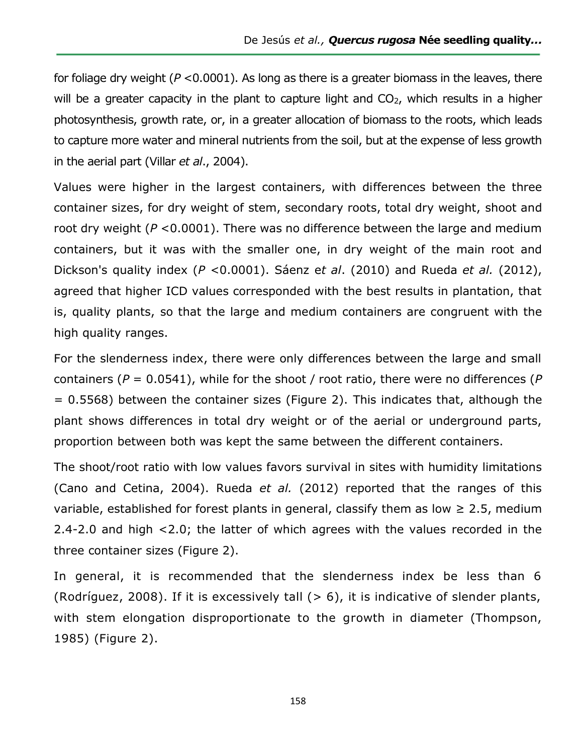for foliage dry weight (*P* <0.0001). As long as there is a greater biomass in the leaves, there will be a greater capacity in the plant to capture light and  $CO<sub>2</sub>$ , which results in a higher photosynthesis, growth rate, or, in a greater allocation of biomass to the roots, which leads to capture more water and mineral nutrients from the soil, but at the expense of less growth in the aerial part (Villar *et al*., 2004).

Values were higher in the largest containers, with differences between the three container sizes, for dry weight of stem, secondary roots, total dry weight, shoot and root dry weight (*P* <0.0001). There was no difference between the large and medium containers, but it was with the smaller one, in dry weight of the main root and Dickson's quality index (*P* <0.0001). Sáenz e*t al*. (2010) and Rueda *et al.* (2012), agreed that higher ICD values corresponded with the best results in plantation, that is, quality plants, so that the large and medium containers are congruent with the high quality ranges.

For the slenderness index, there were only differences between the large and small containers (*P* = 0.0541), while for the shoot / root ratio, there were no differences (*P* = 0.5568) between the container sizes (Figure 2). This indicates that, although the plant shows differences in total dry weight or of the aerial or underground parts, proportion between both was kept the same between the different containers.

The shoot/root ratio with low values favors survival in sites with humidity limitations (Cano and Cetina, 2004). Rueda *et al.* (2012) reported that the ranges of this variable, established for forest plants in general, classify them as low  $\geq 2.5$ , medium 2.4-2.0 and high <2.0; the latter of which agrees with the values recorded in the three container sizes (Figure 2).

In general, it is recommended that the slenderness index be less than 6 (Rodríguez, 2008). If it is excessively tall  $(> 6)$ , it is indicative of slender plants, with stem elongation disproportionate to the growth in diameter (Thompson, 1985) (Figure 2).

158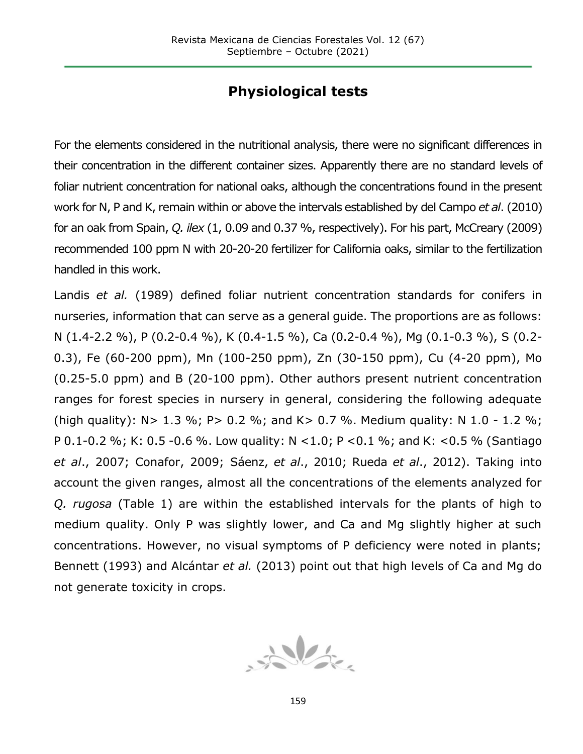## **Physiological tests**

For the elements considered in the nutritional analysis, there were no significant differences in their concentration in the different container sizes. Apparently there are no standard levels of foliar nutrient concentration for national oaks, although the concentrations found in the present work for N, P and K, remain within or above the intervals established by del Campo *et al*. (2010) for an oak from Spain, *Q. ilex* (1, 0.09 and 0.37 %, respectively). For his part, McCreary (2009) recommended 100 ppm N with 20-20-20 fertilizer for California oaks, similar to the fertilization handled in this work.

Landis *et al.* (1989) defined foliar nutrient concentration standards for conifers in nurseries, information that can serve as a general guide. The proportions are as follows: N (1.4-2.2 %), P (0.2-0.4 %), K (0.4-1.5 %), Ca (0.2-0.4 %), Mg (0.1-0.3 %), S (0.2- 0.3), Fe (60-200 ppm), Mn (100-250 ppm), Zn (30-150 ppm), Cu (4-20 ppm), Mo (0.25-5.0 ppm) and B (20-100 ppm). Other authors present nutrient concentration ranges for forest species in nursery in general, considering the following adequate (high quality):  $N > 1.3$  %; P  $> 0.2$  %; and K  $> 0.7$  %. Medium quality: N 1.0 - 1.2 %; P 0.1-0.2 %; K: 0.5 -0.6 %. Low quality: N <1.0; P <0.1 %; and K: <0.5 % (Santiago *et al*., 2007; Conafor, 2009; Sáenz, *et al*., 2010; Rueda *et al*., 2012). Taking into account the given ranges, almost all the concentrations of the elements analyzed for *Q. rugosa* (Table 1) are within the established intervals for the plants of high to medium quality. Only P was slightly lower, and Ca and Mg slightly higher at such concentrations. However, no visual symptoms of P deficiency were noted in plants; Bennett (1993) and Alcántar *et al.* (2013) point out that high levels of Ca and Mg do not generate toxicity in crops.

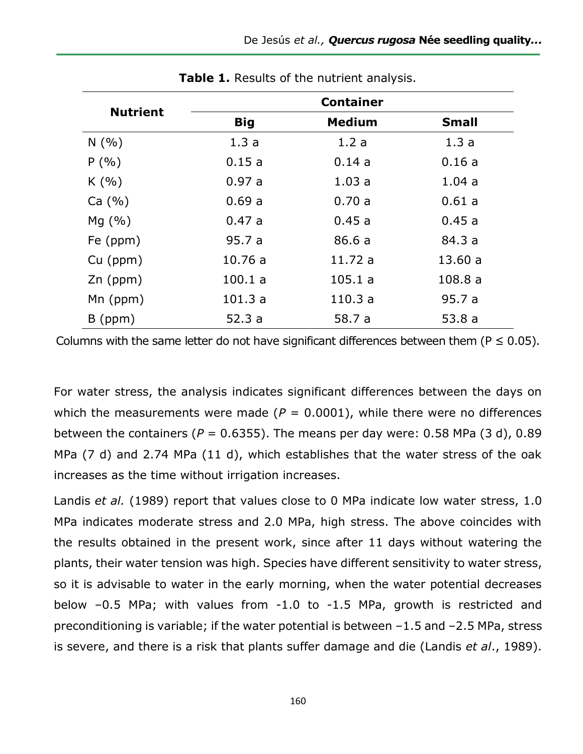| <b>Nutrient</b> | <b>Container</b> |               |              |
|-----------------|------------------|---------------|--------------|
|                 | <b>Big</b>       | <b>Medium</b> | <b>Small</b> |
| N(%)            | 1.3a             | 1.2a          | 1.3a         |
| $P($ %)         | 0.15a            | 0.14a         | 0.16a        |
| K(%)            | 0.97a            | 1.03a         | 1.04a        |
| Ca (%)          | 0.69a            | 0.70a         | 0.61 a       |
| Mq(%)           | 0.47a            | 0.45a         | 0.45a        |
| Fe (ppm)        | 95.7 a           | 86.6a         | 84.3 a       |
| $Cu$ (ppm)      | 10.76a           | 11.72 a       | 13.60a       |
| $Zn$ (ppm)      | 100.1 a          | 105.1 a       | 108.8a       |
| $Mn$ (ppm)      | 101.3a           | 110.3a        | 95.7a        |
| $B$ (ppm)       | 52.3a            | 58.7 a        | 53.8a        |

**Table 1.** Results of the nutrient analysis.

Columns with the same letter do not have significant differences between them ( $P \le 0.05$ ).

For water stress, the analysis indicates significant differences between the days on which the measurements were made  $(P = 0.0001)$ , while there were no differences between the containers ( $P = 0.6355$ ). The means per day were: 0.58 MPa (3 d), 0.89 MPa (7 d) and 2.74 MPa (11 d), which establishes that the water stress of the oak increases as the time without irrigation increases.

Landis *et al.* (1989) report that values close to 0 MPa indicate low water stress, 1.0 MPa indicates moderate stress and 2.0 MPa, high stress. The above coincides with the results obtained in the present work, since after 11 days without watering the plants, their water tension was high. Species have different sensitivity to water stress, so it is advisable to water in the early morning, when the water potential decreases below –0.5 MPa; with values from -1.0 to -1.5 MPa, growth is restricted and preconditioning is variable; if the water potential is between –1.5 and –2.5 MPa, stress is severe, and there is a risk that plants suffer damage and die (Landis *et al*., 1989).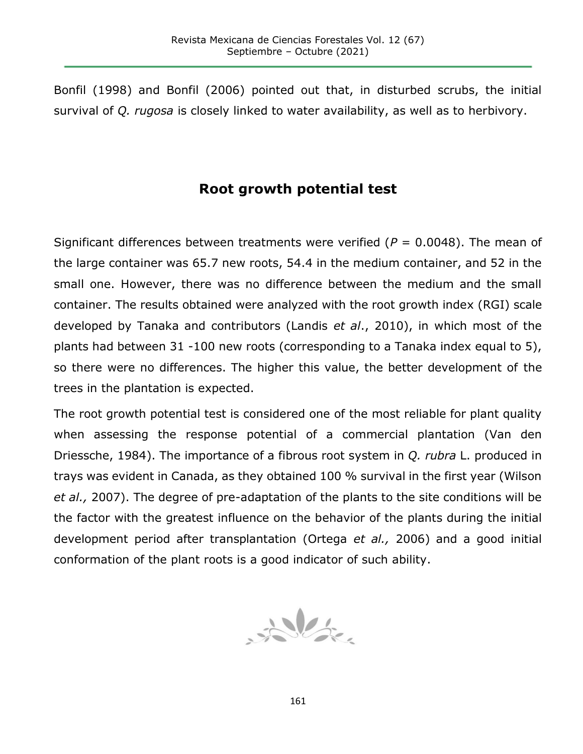Bonfil (1998) and Bonfil (2006) pointed out that, in disturbed scrubs, the initial survival of *Q. rugosa* is closely linked to water availability, as well as to herbivory.

## **Root growth potential test**

Significant differences between treatments were verified  $(P = 0.0048)$ . The mean of the large container was 65.7 new roots, 54.4 in the medium container, and 52 in the small one. However, there was no difference between the medium and the small container. The results obtained were analyzed with the root growth index (RGI) scale developed by Tanaka and contributors (Landis *et al*., 2010), in which most of the plants had between 31 -100 new roots (corresponding to a Tanaka index equal to 5), so there were no differences. The higher this value, the better development of the trees in the plantation is expected.

The root growth potential test is considered one of the most reliable for plant quality when assessing the response potential of a commercial plantation (Van den Driessche, 1984). The importance of a fibrous root system in *Q. rubra* L. produced in trays was evident in Canada, as they obtained 100 % survival in the first year (Wilson *et al.,* 2007). The degree of pre-adaptation of the plants to the site conditions will be the factor with the greatest influence on the behavior of the plants during the initial development period after transplantation (Ortega *et al.,* 2006) and a good initial conformation of the plant roots is a good indicator of such ability.

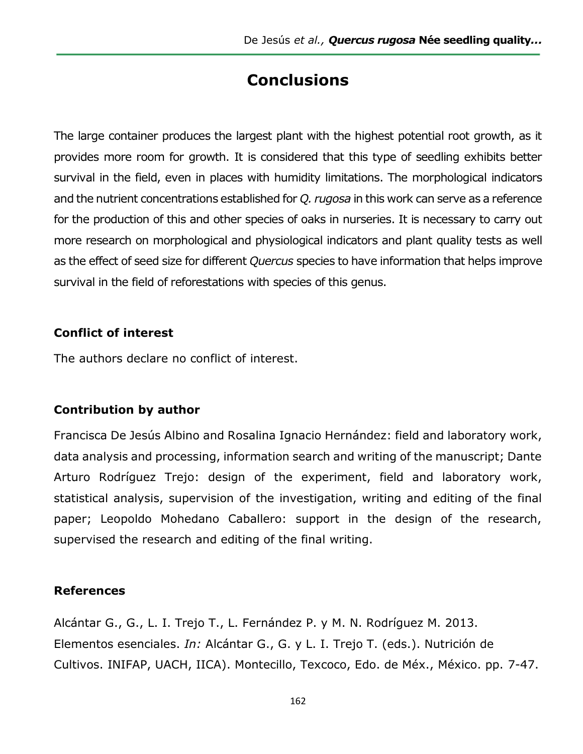## **Conclusions**

The large container produces the largest plant with the highest potential root growth, as it provides more room for growth. It is considered that this type of seedling exhibits better survival in the field, even in places with humidity limitations. The morphological indicators and the nutrient concentrations established for *Q. rugosa* in this work can serve as a reference for the production of this and other species of oaks in nurseries. It is necessary to carry out more research on morphological and physiological indicators and plant quality tests as well as the effect of seed size for different *Quercus* species to have information that helps improve survival in the field of reforestations with species of this genus.

#### **Conflict of interest**

The authors declare no conflict of interest.

#### **Contribution by author**

Francisca De Jesús Albino and Rosalina Ignacio Hernández: field and laboratory work, data analysis and processing, information search and writing of the manuscript; Dante Arturo Rodríguez Trejo: design of the experiment, field and laboratory work, statistical analysis, supervision of the investigation, writing and editing of the final paper; Leopoldo Mohedano Caballero: support in the design of the research, supervised the research and editing of the final writing.

#### **References**

Alcántar G., G., L. I. Trejo T., L. Fernández P. y M. N. Rodríguez M. 2013. Elementos esenciales. *In:* Alcántar G., G. y L. I. Trejo T. (eds.). Nutrición de Cultivos. INIFAP, UACH, IICA). Montecillo, Texcoco, Edo. de Méx., México. pp. 7-47.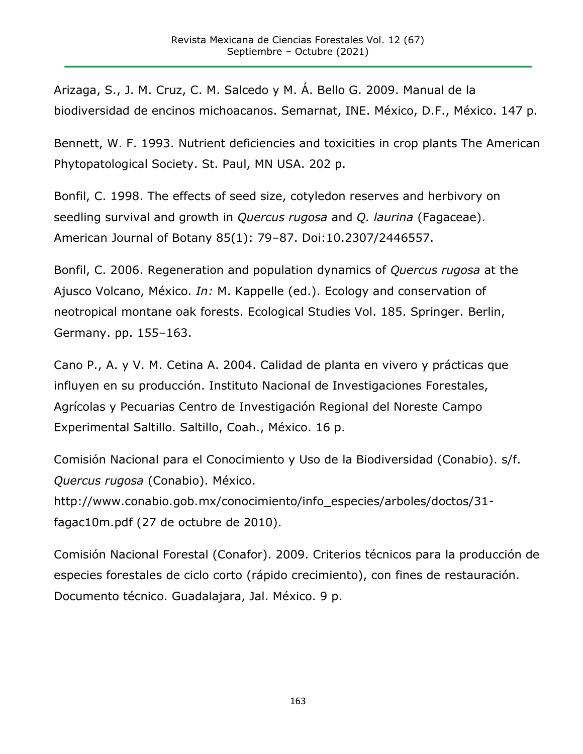Arizaga, S., J. M. Cruz, C. M. Salcedo y M. Á. Bello G. 2009. Manual de la biodiversidad de encinos michoacanos. Semarnat, INE. México, D.F., México. 147 p.

Bennett, W. F. 1993. Nutrient deficiencies and toxicities in crop plants The American Phytopatological Society. St. Paul, MN USA. 202 p.

Bonfil, C. 1998. The effects of seed size, cotyledon reserves and herbivory on seedling survival and growth in *Quercus rugosa* and *Q. laurina* (Fagaceae). American Journal of Botany 85(1): 79–87. Doi[:10.2307/2446557.](https://www.researchgate.net/deref/http%3A%2F%2Fdx.doi.org%2F10.2307%2F2446557?_sg%5B0%5D=gEInuqpiWzBY5oH4ElhP1-UQxLyJSn2x5mAZ3USxKMG1rrXyYk8oGLPN3vAxKJ_62BLz162ZDXmj4-_gYdNXHRM3Vw.qGXMAm2y3v_AR5jDfKouRTYXEbzwm1ip17WJKPA2C1PudYu91RuNYwKcGhzPDI6_QdcEd_IM7qnhpWaMbG1mnQ)

Bonfil, C. 2006. Regeneration and population dynamics of *Quercus rugosa* at the Ajusco Volcano, México. *In:* M. Kappelle (ed.). Ecology and conservation of neotropical montane oak forests. Ecological Studies Vol. 185. Springer. Berlin, Germany. pp. 155–163.

Cano P., A. y V. M. Cetina A. 2004. Calidad de planta en vivero y prácticas que influyen en su producción. Instituto Nacional de Investigaciones Forestales, Agrícolas y Pecuarias Centro de Investigación Regional del Noreste Campo Experimental Saltillo. Saltillo, Coah., México. 16 p.

Comisión Nacional para el Conocimiento y Uso de la Biodiversidad (Conabio). s/f. *Quercus rugosa* (Conabio). México.

http://www.conabio.gob.mx/conocimiento/info\_especies/arboles/doctos/31 fagac10m.pdf (27 de octubre de 2010).

Comisión Nacional Forestal (Conafor). 2009. Criterios técnicos para la producción de especies forestales de ciclo corto (rápido crecimiento), con fines de restauración. Documento técnico. Guadalajara, Jal. México. 9 p.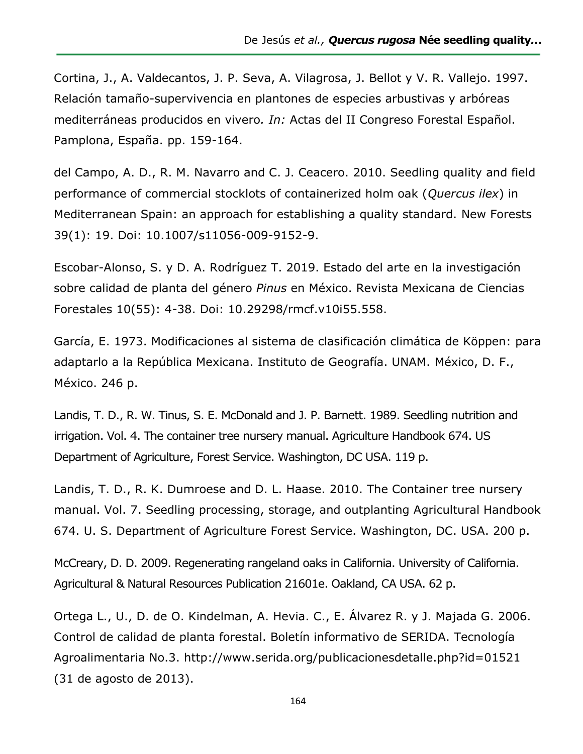Cortina, J., A. Valdecantos, J. P. Seva, A. Vilagrosa, J. Bellot y V. R. Vallejo. 1997. Relación tamaño-supervivencia en plantones de especies arbustivas y arbóreas mediterráneas producidos en vivero*. In:* Actas del II Congreso Forestal Español. Pamplona, España. pp. 159-164.

del Campo, A. D., R. M. Navarro and C. J. Ceacero. 2010. Seedling quality and field performance of commercial stocklots of containerized holm oak (*Quercus ilex*) in Mediterranean Spain: an approach for establishing a quality standard. New Forests 39(1): 19. [Doi: 10.1007/s11056-009-9152-9.](https://doi.org/10.1007/s11056-009-9152-9)

Escobar-Alonso, S. y D. A. Rodríguez T. 2019. Estado del arte en la investigación sobre calidad de planta del género *Pinus* en México. Revista Mexicana de Ciencias Forestales 10(55): 4-38. Doi: 10.29298/rmcf.v10i55.558.

García, E. 1973. Modificaciones al sistema de clasificación climática de Köppen: para adaptarlo a la República Mexicana. Instituto de Geografía. UNAM. México, D. F., México. 246 p.

Landis, T. D., R. W. Tinus, S. E. McDonald and J. P. Barnett. 1989. Seedling nutrition and irrigation. Vol. 4. The container tree nursery manual. Agriculture Handbook 674. US Department of Agriculture, Forest Service. Washington, DC USA. 119 p.

Landis, T. D., R. K. Dumroese and D. L. Haase. 2010. The Container tree nursery manual. Vol. 7. Seedling processing, storage, and outplanting Agricultural Handbook 674. U. S. Department of Agriculture Forest Service. Washington, DC. USA. 200 p.

McCreary, D. D. 2009. Regenerating rangeland oaks in California. University of California. Agricultural & Natural Resources Publication 21601e. Oakland, CA USA. 62 p.

Ortega L., U., D. de O. Kindelman, A. Hevia. C., E. Álvarez R. y J. Majada G. 2006. Control de calidad de planta forestal. Boletín informativo de SERIDA. Tecnología Agroalimentaria No.3. http://www.serida.org/publicacionesdetalle.php?id=01521 (31 de agosto de 2013).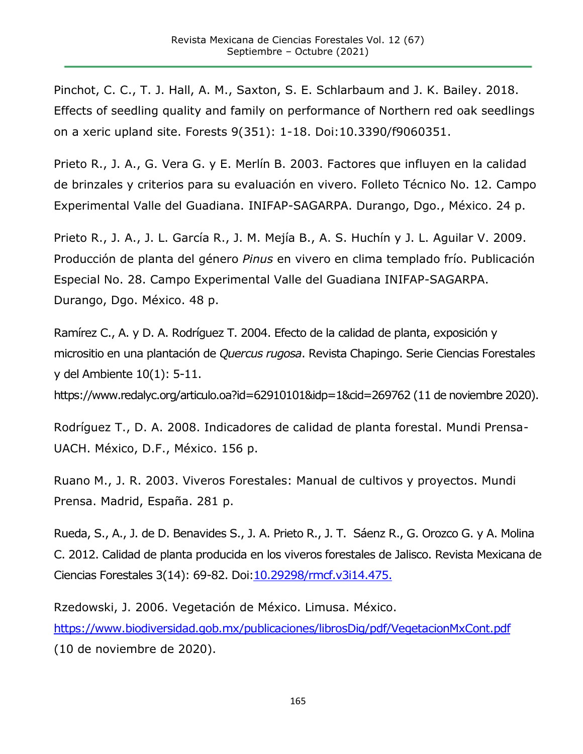Pinchot, C. C., T. J. Hall, A. M., Saxton, S. E. Schlarbaum and J. K. Bailey. 2018. Effects of seedling quality and family on performance of Northern red oak seedlings on a xeric upland site. Forests 9(351): 1-18. Doi:10.3390/f9060351.

Prieto R., J. A., G. Vera G. y E. Merlín B. 2003. Factores que influyen en la calidad de brinzales y criterios para su evaluación en vivero. Folleto Técnico No. 12. Campo Experimental Valle del Guadiana. INIFAP-SAGARPA. Durango, Dgo., México. 24 p.

Prieto R., J. A., J. L. García R., J. M. Mejía B., A. S. Huchín y J. L. Aguilar V. 2009. Producción de planta del género *Pinus* en vivero en clima templado frío. Publicación Especial No. 28. Campo Experimental Valle del Guadiana INIFAP-SAGARPA. Durango, Dgo. México. 48 p.

Ramírez C., A. y D. A. Rodríguez T. 2004. Efecto de la calidad de planta, exposición y micrositio en una plantación de *Quercus rugosa*. Revista Chapingo. Serie Ciencias Forestales y del Ambiente 10(1): 5-11.

https://www.redalyc.org/articulo.oa?id=62910101&idp=1&cid=269762 (11 de noviembre 2020).

Rodríguez T., D. A. 2008. Indicadores de calidad de planta forestal. Mundi Prensa-UACH. México, D.F., México. 156 p.

Ruano M., J. R. 2003. Viveros Forestales: Manual de cultivos y proyectos. Mundi Prensa. Madrid, España. 281 p.

Rueda, S., A., J. de D. Benavides S., J. A. Prieto R., J. T. Sáenz R., G. Orozco G. y A. Molina C. 2012. Calidad de planta producida en los viveros forestales de Jalisco. Revista Mexicana de Ciencias Forestales 3(14): 69-82. Doi: 10.29298/rmcf.v3i14.475.

Rzedowski, J. 2006. Vegetación de México. Limusa. México. <https://www.biodiversidad.gob.mx/publicaciones/librosDig/pdf/VegetacionMxCont.pdf> (10 de noviembre de 2020).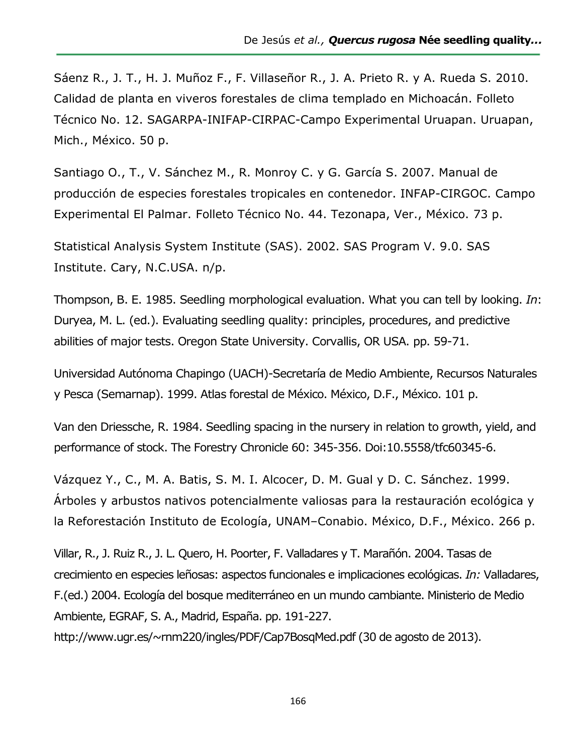Sáenz R., J. T., H. J. Muñoz F., F. Villaseñor R., J. A. Prieto R. y A. Rueda S. 2010. Calidad de planta en viveros forestales de clima templado en Michoacán. Folleto Técnico No. 12. SAGARPA-INIFAP-CIRPAC-Campo Experimental Uruapan. Uruapan, Mich., México. 50 p.

Santiago O., T., V. Sánchez M., R. Monroy C. y G. García S. 2007. Manual de producción de especies forestales tropicales en contenedor. INFAP-CIRGOC. Campo Experimental El Palmar. Folleto Técnico No. 44. Tezonapa, Ver., México. 73 p.

Statistical Analysis System Institute (SAS). 2002. SAS Program V. 9.0. SAS Institute. Cary, N.C.USA. n/p.

Thompson, B. E. 1985. Seedling morphological evaluation. What you can tell by looking. *In*: Duryea, M. L. (ed.). Evaluating seedling quality: principles, procedures, and predictive abilities of major tests. Oregon State University. Corvallis, OR USA. pp. 59-71.

Universidad Autónoma Chapingo (UACH)-Secretaría de Medio Ambiente, Recursos Naturales y Pesca (Semarnap). 1999. Atlas forestal de México. México, D.F., México. 101 p.

Van den Driessche, R. 1984. Seedling spacing in the nursery in relation to growth, yield, and performance of stock. The Forestry Chronicle 60: 345-356. [Doi:10.5558/tfc60345-6.](https://doi.org/10.5558/tfc60345-6)

Vázquez Y., C., M. A. Batis, S. M. I. Alcocer, D. M. Gual y D. C. Sánchez. 1999. Árboles y arbustos nativos potencialmente valiosas para la restauración ecológica y la Reforestación Instituto de Ecología, UNAM–Conabio. México, D.F., México. 266 p.

Villar, R., J. Ruiz R., J. L. Quero, H. Poorter, F. Valladares y T. Marañón. 2004. Tasas de crecimiento en especies leñosas: aspectos funcionales e implicaciones ecológicas. *In:* Valladares, F.(ed.) 2004. Ecología del bosque mediterráneo en un mundo cambiante. Ministerio de Medio Ambiente, EGRAF, S. A., Madrid, España. pp. 191-227.

http://www.ugr.es/~rnm220/ingles/PDF/Cap7BosqMed.pdf (30 de agosto de 2013).